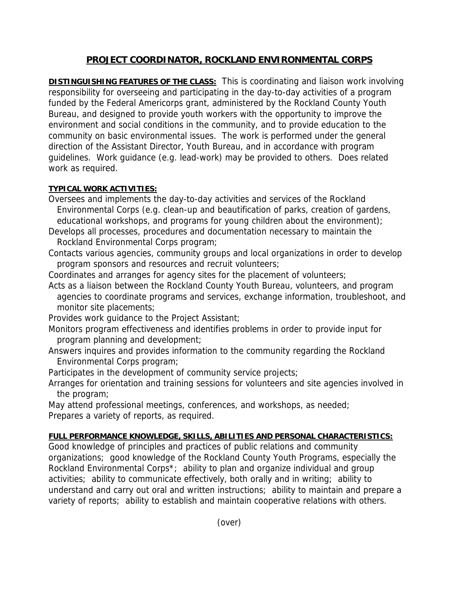## **PROJECT COORDINATOR, ROCKLAND ENVIRONMENTAL CORPS**

**DISTINGUISHING FEATURES OF THE CLASS:** This is coordinating and liaison work involving responsibility for overseeing and participating in the day-to-day activities of a program funded by the Federal Americorps grant, administered by the Rockland County Youth Bureau, and designed to provide youth workers with the opportunity to improve the environment and social conditions in the community, and to provide education to the community on basic environmental issues. The work is performed under the general direction of the Assistant Director, Youth Bureau, and in accordance with program guidelines. Work guidance (e.g. lead-work) may be provided to others. Does related work as required.

## **TYPICAL WORK ACTIVITIES:**

- Oversees and implements the day-to-day activities and services of the Rockland Environmental Corps (e.g. clean-up and beautification of parks, creation of gardens, educational workshops, and programs for young children about the environment);
- Develops all processes, procedures and documentation necessary to maintain the Rockland Environmental Corps program;
- Contacts various agencies, community groups and local organizations in order to develop program sponsors and resources and recruit volunteers;
- Coordinates and arranges for agency sites for the placement of volunteers;
- Acts as a liaison between the Rockland County Youth Bureau, volunteers, and program agencies to coordinate programs and services, exchange information, troubleshoot, and monitor site placements;
- Provides work guidance to the Project Assistant;
- Monitors program effectiveness and identifies problems in order to provide input for program planning and development;
- Answers inquires and provides information to the community regarding the Rockland Environmental Corps program;
- Participates in the development of community service projects;
- Arranges for orientation and training sessions for volunteers and site agencies involved in the program;
- May attend professional meetings, conferences, and workshops, as needed; Prepares a variety of reports, as required.

## **FULL PERFORMANCE KNOWLEDGE, SKILLS, ABILITIES AND PERSONAL CHARACTERISTICS:**

Good knowledge of principles and practices of public relations and community organizations; good knowledge of the Rockland County Youth Programs, especially the Rockland Environmental Corps\*; ability to plan and organize individual and group activities; ability to communicate effectively, both orally and in writing; ability to understand and carry out oral and written instructions; ability to maintain and prepare a variety of reports; ability to establish and maintain cooperative relations with others.